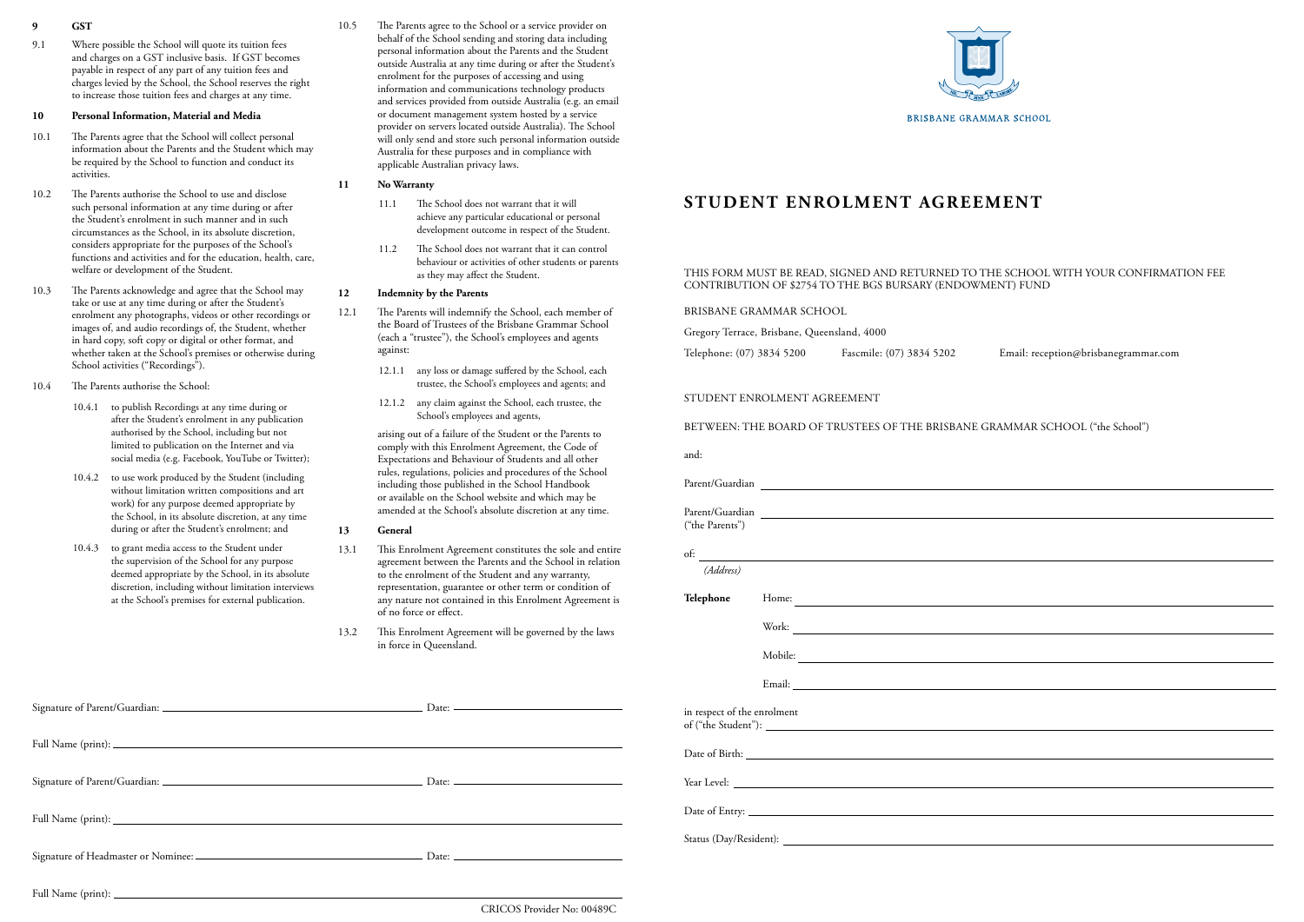# **STUDENT ENROLMENT AGREEMENT**

#### STUDENT ENROLMENT AGREEMENT

## BETWEEN: THE BOARD OF TRUSTEES OF THE BRISBANE GRAMMAR SCHOOL ("the School")

and:

| ("the Parents")             |                         |
|-----------------------------|-------------------------|
|                             | $\overline{\text{of:}}$ |
| (Address)                   |                         |
| Telephone                   |                         |
|                             |                         |
|                             | Mobile:                 |
|                             |                         |
| in respect of the enrolment |                         |
|                             |                         |
|                             |                         |
|                             |                         |
|                             |                         |

- **9 GST**
- 9.1 Where possible the School will quote its tuition fees and charges on a GST inclusive basis. If GST becomes payable in respect of any part of any tuition fees and charges levied by the School, the School reserves the right to increase those tuition fees and charges at any time.

#### **10 Personal Information, Material and Media**

- 10.1 The Parents agree that the School will collect personal information about the Parents and the Student which may be required by the School to function and conduct its activities.
- 10.2 The Parents authorise the School to use and disclose such personal information at any time during or after the Student's enrolment in such manner and in such circumstances as the School, in its absolute discretion, considers appropriate for the purposes of the School's functions and activities and for the education, health, care, welfare or development of the Student.
- 10.3 The Parents acknowledge and agree that the School may take or use at any time during or after the Student's enrolment any photographs, videos or other recordings or images of, and audio recordings of, the Student, whether in hard copy, soft copy or digital or other format, and whether taken at the School's premises or otherwise during School activities ("Recordings").
- 10.4 The Parents authorise the School:
	- 10.4.1 to publish Recordings at any time during or after the Student's enrolment in any publication authorised by the School, including but not limited to publication on the Internet and via social media (e.g. Facebook, YouTube or Twitter);
	- 10.4.2 to use work produced by the Student (including without limitation written compositions and art work) for any purpose deemed appropriate by the School, in its absolute discretion, at any time during or after the Student's enrolment; and
	- 10.4.3 to grant media access to the Student under the supervision of the School for any purpose deemed appropriate by the School, in its absolute discretion, including without limitation interviews at the School's premises for external publication.

| $Date:$ $\frac{1}{100}$    | in respect of the enrolment<br>of ("the Student"): |
|----------------------------|----------------------------------------------------|
|                            |                                                    |
|                            |                                                    |
|                            |                                                    |
|                            |                                                    |
|                            |                                                    |
|                            |                                                    |
| CRICOS Provider No: 00489C |                                                    |



10.5 The Parents agree to the School or a service provider on behalf of the School sending and storing data including personal information about the Parents and the Student outside Australia at any time during or after the Student's enrolment for the purposes of accessing and using information and communications technology products and services provided from outside Australia (e.g. an email or document management system hosted by a service provider on servers located outside Australia). The School will only send and store such personal information outside Australia for these purposes and in compliance with applicable Australian privacy laws.

#### **11 No Warranty**

- 11.1 The School does not warrant that it will achieve any particular educational or personal development outcome in respect of the Student.
- 11.2 The School does not warrant that it can control behaviour or activities of other students or parents as they may affect the Student.

## **12 Indemnity by the Parents**

- 12.1 The Parents will indemnify the School, each member of the Board of Trustees of the Brisbane Grammar School (each a "trustee"), the School's employees and agents against:
	- 12.1.1 any loss or damage suffered by the School, each trustee, the School's employees and agents; and
	- 12.1.2 any claim against the School, each trustee, the School's employees and agents,

arising out of a failure of the Student or the Parents to comply with this Enrolment Agreement, the Code of Expectations and Behaviour of Students and all other rules, regulations, policies and procedures of the School including those published in the School Handbook or available on the School website and which may be amended at the School's absolute discretion at any time.

#### **13 General**

- 13.1 This Enrolment Agreement constitutes the sole and entire agreement between the Parents and the School in relation to the enrolment of the Student and any warranty, representation, guarantee or other term or condition of any nature not contained in this Enrolment Agreement is of no force or effect.
- 13.2 This Enrolment Agreement will be governed by the laws in force in Queensland.

## THIS FORM MUST BE READ, SIGNED AND RETURNED TO THE SCHOOL WITH YOUR CONFIRMATION FEE CONTRIBUTION OF \$2754 TO THE BGS BURSARY (ENDOWMENT) FUND

#### BRISBANE GRAMMAR SCHOOL

Gregory Terrace, Brisbane, Queensland, 4000

Telephone: (07) 3834 5200 Fascmile: (07) 3834 5202 Email: reception@brisbanegrammar.com